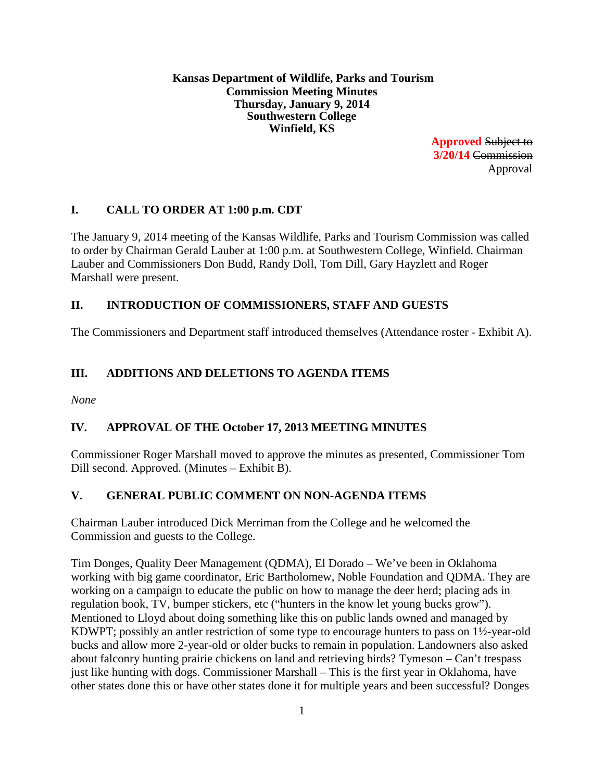**Kansas Department of Wildlife, Parks and Tourism Commission Meeting Minutes Thursday, January 9, 2014 Southwestern College Winfield, KS**

> **Approved** Subject to **3/20/14** Commission Approval

# **I. CALL TO ORDER AT 1:00 p.m. CDT**

The January 9, 2014 meeting of the Kansas Wildlife, Parks and Tourism Commission was called to order by Chairman Gerald Lauber at 1:00 p.m. at Southwestern College, Winfield. Chairman Lauber and Commissioners Don Budd, Randy Doll, Tom Dill, Gary Hayzlett and Roger Marshall were present.

# **II. INTRODUCTION OF COMMISSIONERS, STAFF AND GUESTS**

The Commissioners and Department staff introduced themselves (Attendance roster - Exhibit A).

# **III. ADDITIONS AND DELETIONS TO AGENDA ITEMS**

*None*

# **IV. APPROVAL OF THE October 17, 2013 MEETING MINUTES**

Commissioner Roger Marshall moved to approve the minutes as presented, Commissioner Tom Dill second. Approved. (Minutes – Exhibit B).

# **V. GENERAL PUBLIC COMMENT ON NON-AGENDA ITEMS**

Chairman Lauber introduced Dick Merriman from the College and he welcomed the Commission and guests to the College.

Tim Donges, Quality Deer Management (QDMA), El Dorado – We've been in Oklahoma working with big game coordinator, Eric Bartholomew, Noble Foundation and QDMA. They are working on a campaign to educate the public on how to manage the deer herd; placing ads in regulation book, TV, bumper stickers, etc ("hunters in the know let young bucks grow"). Mentioned to Lloyd about doing something like this on public lands owned and managed by KDWPT; possibly an antler restriction of some type to encourage hunters to pass on 1½-year-old bucks and allow more 2-year-old or older bucks to remain in population. Landowners also asked about falconry hunting prairie chickens on land and retrieving birds? Tymeson – Can't trespass just like hunting with dogs. Commissioner Marshall – This is the first year in Oklahoma, have other states done this or have other states done it for multiple years and been successful? Donges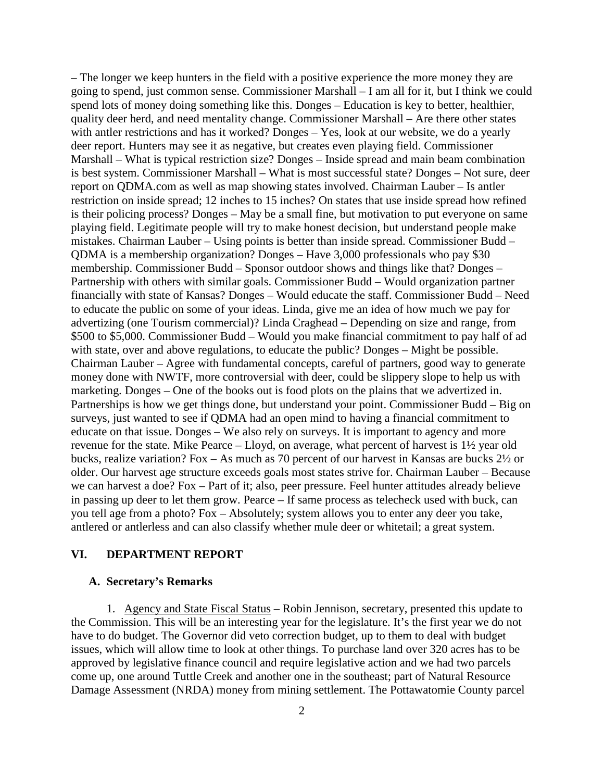– The longer we keep hunters in the field with a positive experience the more money they are going to spend, just common sense. Commissioner Marshall – I am all for it, but I think we could spend lots of money doing something like this. Donges – Education is key to better, healthier, quality deer herd, and need mentality change. Commissioner Marshall – Are there other states with antler restrictions and has it worked? Donges – Yes, look at our website, we do a yearly deer report. Hunters may see it as negative, but creates even playing field. Commissioner Marshall – What is typical restriction size? Donges – Inside spread and main beam combination is best system. Commissioner Marshall – What is most successful state? Donges – Not sure, deer report on QDMA.com as well as map showing states involved. Chairman Lauber – Is antler restriction on inside spread; 12 inches to 15 inches? On states that use inside spread how refined is their policing process? Donges – May be a small fine, but motivation to put everyone on same playing field. Legitimate people will try to make honest decision, but understand people make mistakes. Chairman Lauber – Using points is better than inside spread. Commissioner Budd – QDMA is a membership organization? Donges – Have 3,000 professionals who pay \$30 membership. Commissioner Budd – Sponsor outdoor shows and things like that? Donges – Partnership with others with similar goals. Commissioner Budd – Would organization partner financially with state of Kansas? Donges – Would educate the staff. Commissioner Budd – Need to educate the public on some of your ideas. Linda, give me an idea of how much we pay for advertizing (one Tourism commercial)? Linda Craghead – Depending on size and range, from \$500 to \$5,000. Commissioner Budd – Would you make financial commitment to pay half of ad with state, over and above regulations, to educate the public? Donges – Might be possible. Chairman Lauber – Agree with fundamental concepts, careful of partners, good way to generate money done with NWTF, more controversial with deer, could be slippery slope to help us with marketing. Donges – One of the books out is food plots on the plains that we advertized in. Partnerships is how we get things done, but understand your point. Commissioner Budd – Big on surveys, just wanted to see if QDMA had an open mind to having a financial commitment to educate on that issue. Donges – We also rely on surveys. It is important to agency and more revenue for the state. Mike Pearce – Lloyd, on average, what percent of harvest is 1½ year old bucks, realize variation? Fox – As much as 70 percent of our harvest in Kansas are bucks 2½ or older. Our harvest age structure exceeds goals most states strive for. Chairman Lauber – Because we can harvest a doe? Fox – Part of it; also, peer pressure. Feel hunter attitudes already believe in passing up deer to let them grow. Pearce – If same process as telecheck used with buck, can you tell age from a photo? Fox – Absolutely; system allows you to enter any deer you take, antlered or antlerless and can also classify whether mule deer or whitetail; a great system.

## **VI. DEPARTMENT REPORT**

#### **A. Secretary's Remarks**

1. Agency and State Fiscal Status – Robin Jennison, secretary, presented this update to the Commission. This will be an interesting year for the legislature. It's the first year we do not have to do budget. The Governor did veto correction budget, up to them to deal with budget issues, which will allow time to look at other things. To purchase land over 320 acres has to be approved by legislative finance council and require legislative action and we had two parcels come up, one around Tuttle Creek and another one in the southeast; part of Natural Resource Damage Assessment (NRDA) money from mining settlement. The Pottawatomie County parcel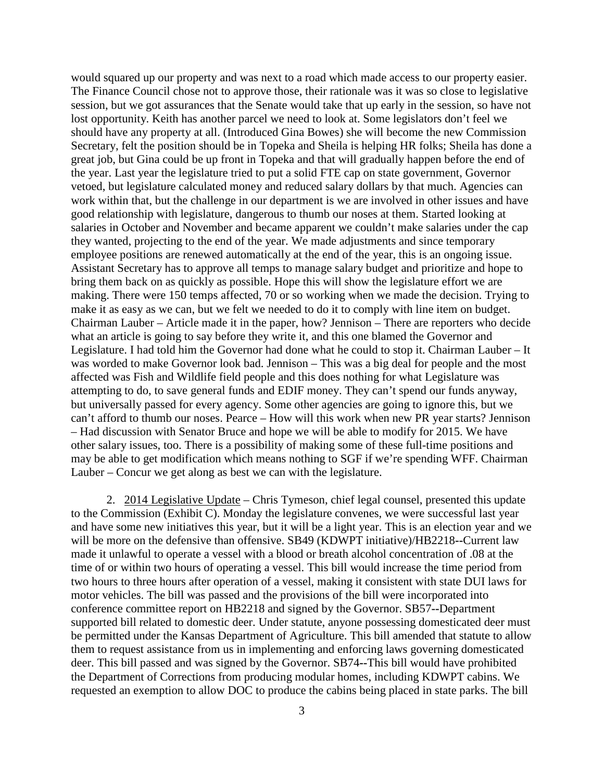would squared up our property and was next to a road which made access to our property easier. The Finance Council chose not to approve those, their rationale was it was so close to legislative session, but we got assurances that the Senate would take that up early in the session, so have not lost opportunity. Keith has another parcel we need to look at. Some legislators don't feel we should have any property at all. (Introduced Gina Bowes) she will become the new Commission Secretary, felt the position should be in Topeka and Sheila is helping HR folks; Sheila has done a great job, but Gina could be up front in Topeka and that will gradually happen before the end of the year. Last year the legislature tried to put a solid FTE cap on state government, Governor vetoed, but legislature calculated money and reduced salary dollars by that much. Agencies can work within that, but the challenge in our department is we are involved in other issues and have good relationship with legislature, dangerous to thumb our noses at them. Started looking at salaries in October and November and became apparent we couldn't make salaries under the cap they wanted, projecting to the end of the year. We made adjustments and since temporary employee positions are renewed automatically at the end of the year, this is an ongoing issue. Assistant Secretary has to approve all temps to manage salary budget and prioritize and hope to bring them back on as quickly as possible. Hope this will show the legislature effort we are making. There were 150 temps affected, 70 or so working when we made the decision. Trying to make it as easy as we can, but we felt we needed to do it to comply with line item on budget. Chairman Lauber – Article made it in the paper, how? Jennison – There are reporters who decide what an article is going to say before they write it, and this one blamed the Governor and Legislature. I had told him the Governor had done what he could to stop it. Chairman Lauber – It was worded to make Governor look bad. Jennison – This was a big deal for people and the most affected was Fish and Wildlife field people and this does nothing for what Legislature was attempting to do, to save general funds and EDIF money. They can't spend our funds anyway, but universally passed for every agency. Some other agencies are going to ignore this, but we can't afford to thumb our noses. Pearce – How will this work when new PR year starts? Jennison – Had discussion with Senator Bruce and hope we will be able to modify for 2015. We have other salary issues, too. There is a possibility of making some of these full-time positions and may be able to get modification which means nothing to SGF if we're spending WFF. Chairman Lauber – Concur we get along as best we can with the legislature.

2. 2014 Legislative Update – Chris Tymeson, chief legal counsel, presented this update to the Commission (Exhibit C). Monday the legislature convenes, we were successful last year and have some new initiatives this year, but it will be a light year. This is an election year and we will be more on the defensive than offensive. SB49 (KDWPT initiative)/HB2218**--**Current law made it unlawful to operate a vessel with a blood or breath alcohol concentration of .08 at the time of or within two hours of operating a vessel. This bill would increase the time period from two hours to three hours after operation of a vessel, making it consistent with state DUI laws for motor vehicles. The bill was passed and the provisions of the bill were incorporated into conference committee report on HB2218 and signed by the Governor. SB57**--**Department supported bill related to domestic deer. Under statute, anyone possessing domesticated deer must be permitted under the Kansas Department of Agriculture. This bill amended that statute to allow them to request assistance from us in implementing and enforcing laws governing domesticated deer. This bill passed and was signed by the Governor. SB74**--**This bill would have prohibited the Department of Corrections from producing modular homes, including KDWPT cabins. We requested an exemption to allow DOC to produce the cabins being placed in state parks. The bill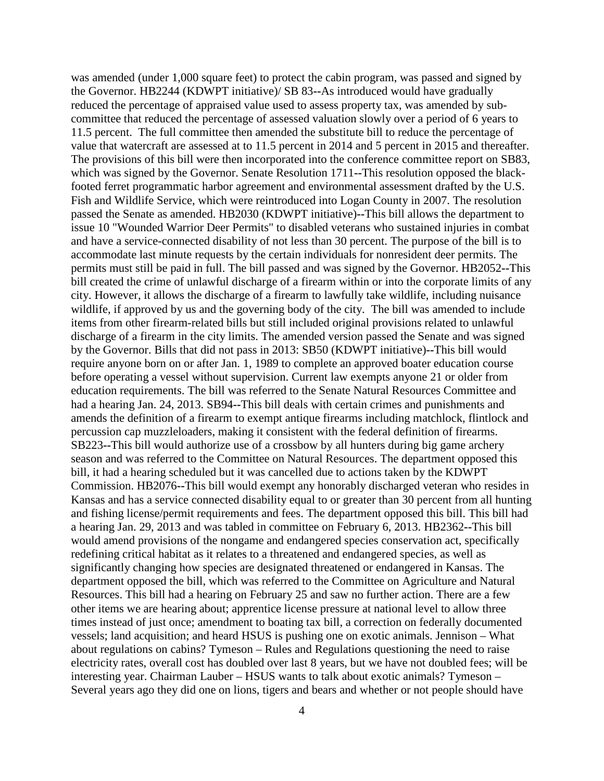was amended (under 1,000 square feet) to protect the cabin program, was passed and signed by the Governor. HB2244 (KDWPT initiative)/ SB 83**--**As introduced would have gradually reduced the percentage of appraised value used to assess property tax, was amended by subcommittee that reduced the percentage of assessed valuation slowly over a period of 6 years to 11.5 percent. The full committee then amended the substitute bill to reduce the percentage of value that watercraft are assessed at to 11.5 percent in 2014 and 5 percent in 2015 and thereafter. The provisions of this bill were then incorporated into the conference committee report on SB83, which was signed by the Governor. Senate Resolution 1711**--**This resolution opposed the blackfooted ferret programmatic harbor agreement and environmental assessment drafted by the U.S. Fish and Wildlife Service, which were reintroduced into Logan County in 2007. The resolution passed the Senate as amended. HB2030 (KDWPT initiative)**--**This bill allows the department to issue 10 "Wounded Warrior Deer Permits" to disabled veterans who sustained injuries in combat and have a service-connected disability of not less than 30 percent. The purpose of the bill is to accommodate last minute requests by the certain individuals for nonresident deer permits. The permits must still be paid in full. The bill passed and was signed by the Governor. HB2052**--**This bill created the crime of unlawful discharge of a firearm within or into the corporate limits of any city. However, it allows the discharge of a firearm to lawfully take wildlife, including nuisance wildlife, if approved by us and the governing body of the city. The bill was amended to include items from other firearm-related bills but still included original provisions related to unlawful discharge of a firearm in the city limits. The amended version passed the Senate and was signed by the Governor. Bills that did not pass in 2013: SB50 (KDWPT initiative)**--**This bill would require anyone born on or after Jan. 1, 1989 to complete an approved boater education course before operating a vessel without supervision. Current law exempts anyone 21 or older from education requirements. The bill was referred to the Senate Natural Resources Committee and had a hearing Jan. 24, 2013. SB94**--**This bill deals with certain crimes and punishments and amends the definition of a firearm to exempt antique firearms including matchlock, flintlock and percussion cap muzzleloaders, making it consistent with the federal definition of firearms. SB223**--**This bill would authorize use of a crossbow by all hunters during big game archery season and was referred to the Committee on Natural Resources. The department opposed this bill, it had a hearing scheduled but it was cancelled due to actions taken by the KDWPT Commission. HB2076**--**This bill would exempt any honorably discharged veteran who resides in Kansas and has a service connected disability equal to or greater than 30 percent from all hunting and fishing license/permit requirements and fees. The department opposed this bill. This bill had a hearing Jan. 29, 2013 and was tabled in committee on February 6, 2013. HB2362**--**This bill would amend provisions of the nongame and endangered species conservation act, specifically redefining critical habitat as it relates to a threatened and endangered species, as well as significantly changing how species are designated threatened or endangered in Kansas. The department opposed the bill, which was referred to the Committee on Agriculture and Natural Resources. This bill had a hearing on February 25 and saw no further action. There are a few other items we are hearing about; apprentice license pressure at national level to allow three times instead of just once; amendment to boating tax bill, a correction on federally documented vessels; land acquisition; and heard HSUS is pushing one on exotic animals. Jennison – What about regulations on cabins? Tymeson – Rules and Regulations questioning the need to raise electricity rates, overall cost has doubled over last 8 years, but we have not doubled fees; will be interesting year. Chairman Lauber – HSUS wants to talk about exotic animals? Tymeson – Several years ago they did one on lions, tigers and bears and whether or not people should have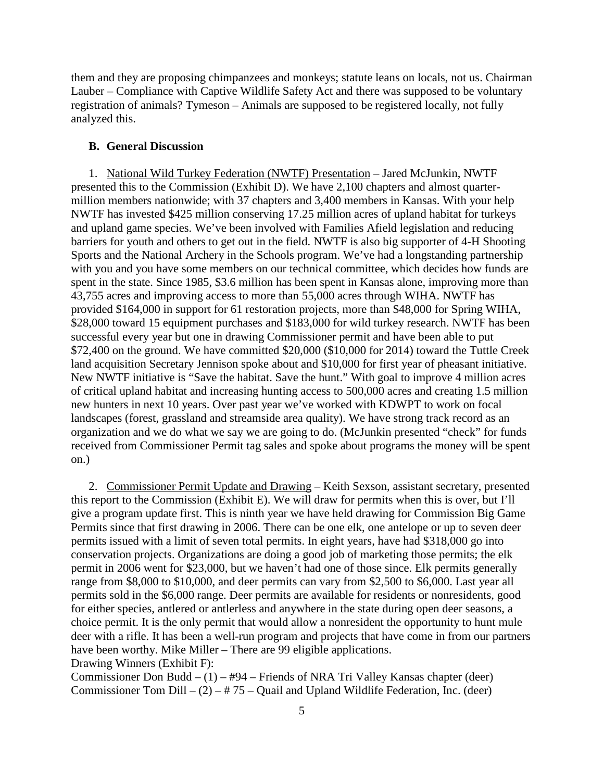them and they are proposing chimpanzees and monkeys; statute leans on locals, not us. Chairman Lauber – Compliance with Captive Wildlife Safety Act and there was supposed to be voluntary registration of animals? Tymeson – Animals are supposed to be registered locally, not fully analyzed this.

### **B. General Discussion**

1. National Wild Turkey Federation (NWTF) Presentation – Jared McJunkin, NWTF presented this to the Commission (Exhibit D). We have 2,100 chapters and almost quartermillion members nationwide; with 37 chapters and 3,400 members in Kansas. With your help NWTF has invested \$425 million conserving 17.25 million acres of upland habitat for turkeys and upland game species. We've been involved with Families Afield legislation and reducing barriers for youth and others to get out in the field. NWTF is also big supporter of 4-H Shooting Sports and the National Archery in the Schools program. We've had a longstanding partnership with you and you have some members on our technical committee, which decides how funds are spent in the state. Since 1985, \$3.6 million has been spent in Kansas alone, improving more than 43,755 acres and improving access to more than 55,000 acres through WIHA. NWTF has provided \$164,000 in support for 61 restoration projects, more than \$48,000 for Spring WIHA, \$28,000 toward 15 equipment purchases and \$183,000 for wild turkey research. NWTF has been successful every year but one in drawing Commissioner permit and have been able to put \$72,400 on the ground. We have committed \$20,000 (\$10,000 for 2014) toward the Tuttle Creek land acquisition Secretary Jennison spoke about and \$10,000 for first year of pheasant initiative. New NWTF initiative is "Save the habitat. Save the hunt." With goal to improve 4 million acres of critical upland habitat and increasing hunting access to 500,000 acres and creating 1.5 million new hunters in next 10 years. Over past year we've worked with KDWPT to work on focal landscapes (forest, grassland and streamside area quality). We have strong track record as an organization and we do what we say we are going to do. (McJunkin presented "check" for funds received from Commissioner Permit tag sales and spoke about programs the money will be spent on.)

2. Commissioner Permit Update and Drawing – Keith Sexson, assistant secretary, presented this report to the Commission (Exhibit E). We will draw for permits when this is over, but I'll give a program update first. This is ninth year we have held drawing for Commission Big Game Permits since that first drawing in 2006. There can be one elk, one antelope or up to seven deer permits issued with a limit of seven total permits. In eight years, have had \$318,000 go into conservation projects. Organizations are doing a good job of marketing those permits; the elk permit in 2006 went for \$23,000, but we haven't had one of those since. Elk permits generally range from \$8,000 to \$10,000, and deer permits can vary from \$2,500 to \$6,000. Last year all permits sold in the \$6,000 range. Deer permits are available for residents or nonresidents, good for either species, antlered or antlerless and anywhere in the state during open deer seasons, a choice permit. It is the only permit that would allow a nonresident the opportunity to hunt mule deer with a rifle. It has been a well-run program and projects that have come in from our partners have been worthy. Mike Miller – There are 99 eligible applications. Drawing Winners (Exhibit F):

Commissioner Don Budd –  $(1)$  – #94 – Friends of NRA Tri Valley Kansas chapter (deer) Commissioner Tom Dill –  $(2)$  – #75 – Quail and Upland Wildlife Federation, Inc. (deer)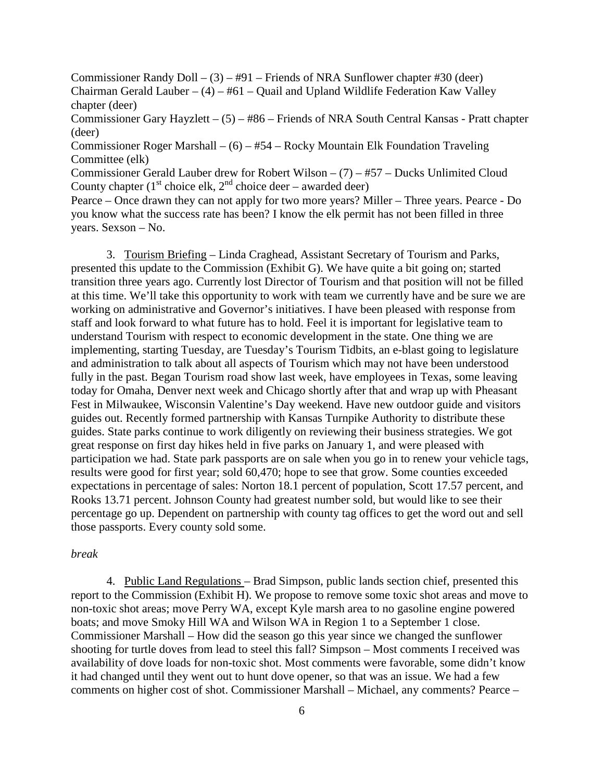Commissioner Randy Doll – (3) – #91 – Friends of NRA Sunflower chapter #30 (deer) Chairman Gerald Lauber –  $(4)$  – #61 – Quail and Upland Wildlife Federation Kaw Valley chapter (deer)

Commissioner Gary Hayzlett – (5) – #86 – Friends of NRA South Central Kansas - Pratt chapter (deer)

Commissioner Roger Marshall – (6) – #54 – Rocky Mountain Elk Foundation Traveling Committee (elk)

Commissioner Gerald Lauber drew for Robert Wilson – (7) – #57 – Ducks Unlimited Cloud County chapter ( $1<sup>st</sup>$  choice elk,  $2<sup>nd</sup>$  choice deer – awarded deer)

Pearce – Once drawn they can not apply for two more years? Miller – Three years. Pearce - Do you know what the success rate has been? I know the elk permit has not been filled in three years. Sexson – No.

3. Tourism Briefing – Linda Craghead, Assistant Secretary of Tourism and Parks, presented this update to the Commission (Exhibit G). We have quite a bit going on; started transition three years ago. Currently lost Director of Tourism and that position will not be filled at this time. We'll take this opportunity to work with team we currently have and be sure we are working on administrative and Governor's initiatives. I have been pleased with response from staff and look forward to what future has to hold. Feel it is important for legislative team to understand Tourism with respect to economic development in the state. One thing we are implementing, starting Tuesday, are Tuesday's Tourism Tidbits, an e-blast going to legislature and administration to talk about all aspects of Tourism which may not have been understood fully in the past. Began Tourism road show last week, have employees in Texas, some leaving today for Omaha, Denver next week and Chicago shortly after that and wrap up with Pheasant Fest in Milwaukee, Wisconsin Valentine's Day weekend. Have new outdoor guide and visitors guides out. Recently formed partnership with Kansas Turnpike Authority to distribute these guides. State parks continue to work diligently on reviewing their business strategies. We got great response on first day hikes held in five parks on January 1, and were pleased with participation we had. State park passports are on sale when you go in to renew your vehicle tags, results were good for first year; sold 60,470; hope to see that grow. Some counties exceeded expectations in percentage of sales: Norton 18.1 percent of population, Scott 17.57 percent, and Rooks 13.71 percent. Johnson County had greatest number sold, but would like to see their percentage go up. Dependent on partnership with county tag offices to get the word out and sell those passports. Every county sold some.

#### *break*

4. Public Land Regulations – Brad Simpson, public lands section chief, presented this report to the Commission (Exhibit H). We propose to remove some toxic shot areas and move to non-toxic shot areas; move Perry WA, except Kyle marsh area to no gasoline engine powered boats; and move Smoky Hill WA and Wilson WA in Region 1 to a September 1 close. Commissioner Marshall – How did the season go this year since we changed the sunflower shooting for turtle doves from lead to steel this fall? Simpson – Most comments I received was availability of dove loads for non-toxic shot. Most comments were favorable, some didn't know it had changed until they went out to hunt dove opener, so that was an issue. We had a few comments on higher cost of shot. Commissioner Marshall – Michael, any comments? Pearce –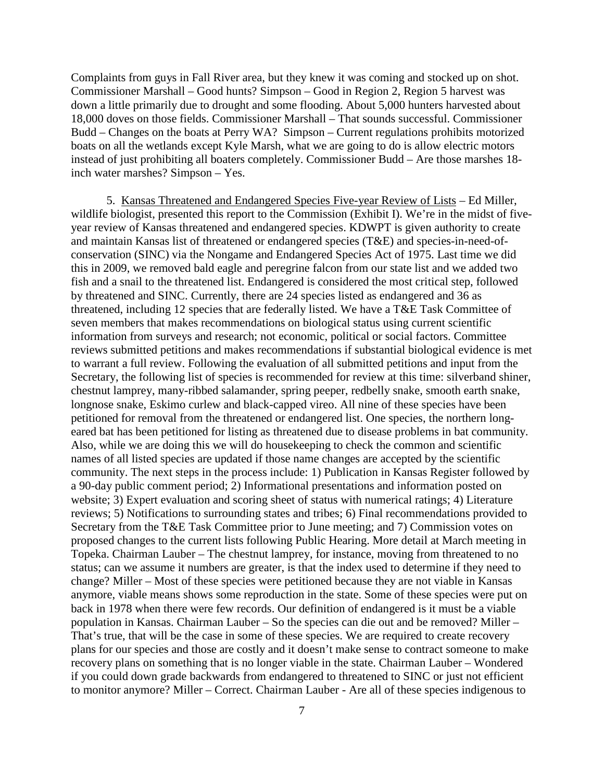Complaints from guys in Fall River area, but they knew it was coming and stocked up on shot. Commissioner Marshall – Good hunts? Simpson – Good in Region 2, Region 5 harvest was down a little primarily due to drought and some flooding. About 5,000 hunters harvested about 18,000 doves on those fields. Commissioner Marshall – That sounds successful. Commissioner Budd – Changes on the boats at Perry WA? Simpson – Current regulations prohibits motorized boats on all the wetlands except Kyle Marsh, what we are going to do is allow electric motors instead of just prohibiting all boaters completely. Commissioner Budd – Are those marshes 18 inch water marshes? Simpson – Yes.

5. Kansas Threatened and Endangered Species Five-year Review of Lists – Ed Miller, wildlife biologist, presented this report to the Commission (Exhibit I). We're in the midst of fiveyear review of Kansas threatened and endangered species. KDWPT is given authority to create and maintain Kansas list of threatened or endangered species (T&E) and species-in-need-ofconservation (SINC) via the Nongame and Endangered Species Act of 1975. Last time we did this in 2009, we removed bald eagle and peregrine falcon from our state list and we added two fish and a snail to the threatened list. Endangered is considered the most critical step, followed by threatened and SINC. Currently, there are 24 species listed as endangered and 36 as threatened, including 12 species that are federally listed. We have a T&E Task Committee of seven members that makes recommendations on biological status using current scientific information from surveys and research; not economic, political or social factors. Committee reviews submitted petitions and makes recommendations if substantial biological evidence is met to warrant a full review. Following the evaluation of all submitted petitions and input from the Secretary, the following list of species is recommended for review at this time: silverband shiner, chestnut lamprey, many-ribbed salamander, spring peeper, redbelly snake, smooth earth snake, longnose snake, Eskimo curlew and black-capped vireo. All nine of these species have been petitioned for removal from the threatened or endangered list. One species, the northern longeared bat has been petitioned for listing as threatened due to disease problems in bat community. Also, while we are doing this we will do housekeeping to check the common and scientific names of all listed species are updated if those name changes are accepted by the scientific community. The next steps in the process include: 1) Publication in Kansas Register followed by a 90-day public comment period; 2) Informational presentations and information posted on website; 3) Expert evaluation and scoring sheet of status with numerical ratings; 4) Literature reviews; 5) Notifications to surrounding states and tribes; 6) Final recommendations provided to Secretary from the T&E Task Committee prior to June meeting; and 7) Commission votes on proposed changes to the current lists following Public Hearing. More detail at March meeting in Topeka. Chairman Lauber – The chestnut lamprey, for instance, moving from threatened to no status; can we assume it numbers are greater, is that the index used to determine if they need to change? Miller – Most of these species were petitioned because they are not viable in Kansas anymore, viable means shows some reproduction in the state. Some of these species were put on back in 1978 when there were few records. Our definition of endangered is it must be a viable population in Kansas. Chairman Lauber – So the species can die out and be removed? Miller – That's true, that will be the case in some of these species. We are required to create recovery plans for our species and those are costly and it doesn't make sense to contract someone to make recovery plans on something that is no longer viable in the state. Chairman Lauber – Wondered if you could down grade backwards from endangered to threatened to SINC or just not efficient to monitor anymore? Miller – Correct. Chairman Lauber - Are all of these species indigenous to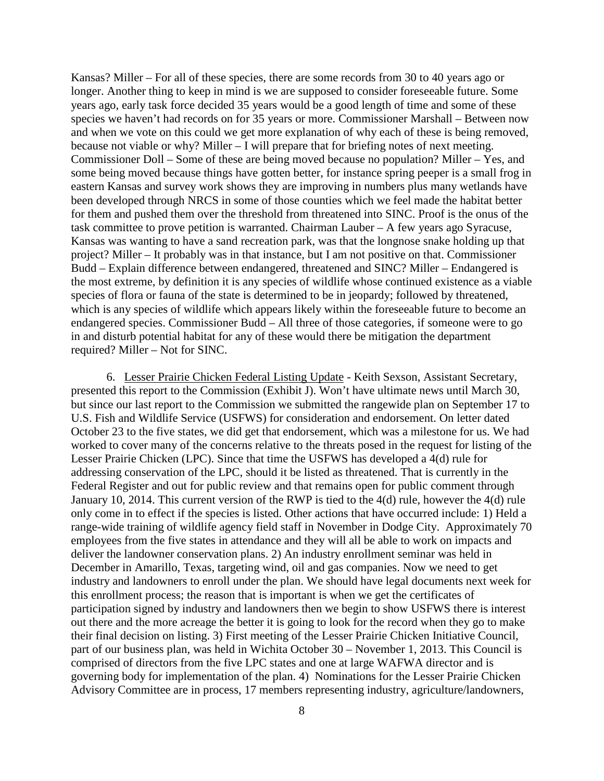Kansas? Miller – For all of these species, there are some records from 30 to 40 years ago or longer. Another thing to keep in mind is we are supposed to consider foreseeable future. Some years ago, early task force decided 35 years would be a good length of time and some of these species we haven't had records on for 35 years or more. Commissioner Marshall – Between now and when we vote on this could we get more explanation of why each of these is being removed, because not viable or why? Miller – I will prepare that for briefing notes of next meeting. Commissioner Doll – Some of these are being moved because no population? Miller – Yes, and some being moved because things have gotten better, for instance spring peeper is a small frog in eastern Kansas and survey work shows they are improving in numbers plus many wetlands have been developed through NRCS in some of those counties which we feel made the habitat better for them and pushed them over the threshold from threatened into SINC. Proof is the onus of the task committee to prove petition is warranted. Chairman Lauber – A few years ago Syracuse, Kansas was wanting to have a sand recreation park, was that the longnose snake holding up that project? Miller – It probably was in that instance, but I am not positive on that. Commissioner Budd – Explain difference between endangered, threatened and SINC? Miller – Endangered is the most extreme, by definition it is any species of wildlife whose continued existence as a viable species of flora or fauna of the state is determined to be in jeopardy; followed by threatened, which is any species of wildlife which appears likely within the foreseeable future to become an endangered species. Commissioner Budd – All three of those categories, if someone were to go in and disturb potential habitat for any of these would there be mitigation the department required? Miller – Not for SINC.

6. Lesser Prairie Chicken Federal Listing Update - Keith Sexson, Assistant Secretary, presented this report to the Commission (Exhibit J). Won't have ultimate news until March 30, but since our last report to the Commission we submitted the rangewide plan on September 17 to U.S. Fish and Wildlife Service (USFWS) for consideration and endorsement. On letter dated October 23 to the five states, we did get that endorsement, which was a milestone for us. We had worked to cover many of the concerns relative to the threats posed in the request for listing of the Lesser Prairie Chicken (LPC). Since that time the USFWS has developed a 4(d) rule for addressing conservation of the LPC, should it be listed as threatened. That is currently in the Federal Register and out for public review and that remains open for public comment through January 10, 2014. This current version of the RWP is tied to the 4(d) rule, however the 4(d) rule only come in to effect if the species is listed. Other actions that have occurred include: 1) Held a range-wide training of wildlife agency field staff in November in Dodge City. Approximately 70 employees from the five states in attendance and they will all be able to work on impacts and deliver the landowner conservation plans. 2) An industry enrollment seminar was held in December in Amarillo, Texas, targeting wind, oil and gas companies. Now we need to get industry and landowners to enroll under the plan. We should have legal documents next week for this enrollment process; the reason that is important is when we get the certificates of participation signed by industry and landowners then we begin to show USFWS there is interest out there and the more acreage the better it is going to look for the record when they go to make their final decision on listing. 3) First meeting of the Lesser Prairie Chicken Initiative Council, part of our business plan, was held in Wichita October 30 – November 1, 2013. This Council is comprised of directors from the five LPC states and one at large WAFWA director and is governing body for implementation of the plan. 4) Nominations for the Lesser Prairie Chicken Advisory Committee are in process, 17 members representing industry, agriculture/landowners,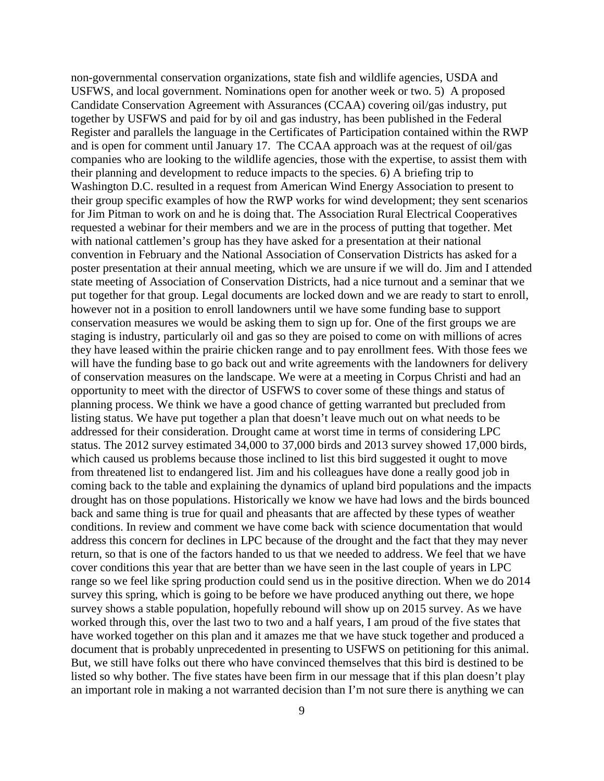non-governmental conservation organizations, state fish and wildlife agencies, USDA and USFWS, and local government. Nominations open for another week or two. 5) A proposed Candidate Conservation Agreement with Assurances (CCAA) covering oil/gas industry, put together by USFWS and paid for by oil and gas industry, has been published in the Federal Register and parallels the language in the Certificates of Participation contained within the RWP and is open for comment until January 17. The CCAA approach was at the request of oil/gas companies who are looking to the wildlife agencies, those with the expertise, to assist them with their planning and development to reduce impacts to the species. 6) A briefing trip to Washington D.C. resulted in a request from American Wind Energy Association to present to their group specific examples of how the RWP works for wind development; they sent scenarios for Jim Pitman to work on and he is doing that. The Association Rural Electrical Cooperatives requested a webinar for their members and we are in the process of putting that together. Met with national cattlemen's group has they have asked for a presentation at their national convention in February and the National Association of Conservation Districts has asked for a poster presentation at their annual meeting, which we are unsure if we will do. Jim and I attended state meeting of Association of Conservation Districts, had a nice turnout and a seminar that we put together for that group. Legal documents are locked down and we are ready to start to enroll, however not in a position to enroll landowners until we have some funding base to support conservation measures we would be asking them to sign up for. One of the first groups we are staging is industry, particularly oil and gas so they are poised to come on with millions of acres they have leased within the prairie chicken range and to pay enrollment fees. With those fees we will have the funding base to go back out and write agreements with the landowners for delivery of conservation measures on the landscape. We were at a meeting in Corpus Christi and had an opportunity to meet with the director of USFWS to cover some of these things and status of planning process. We think we have a good chance of getting warranted but precluded from listing status. We have put together a plan that doesn't leave much out on what needs to be addressed for their consideration. Drought came at worst time in terms of considering LPC status. The 2012 survey estimated 34,000 to 37,000 birds and 2013 survey showed 17,000 birds, which caused us problems because those inclined to list this bird suggested it ought to move from threatened list to endangered list. Jim and his colleagues have done a really good job in coming back to the table and explaining the dynamics of upland bird populations and the impacts drought has on those populations. Historically we know we have had lows and the birds bounced back and same thing is true for quail and pheasants that are affected by these types of weather conditions. In review and comment we have come back with science documentation that would address this concern for declines in LPC because of the drought and the fact that they may never return, so that is one of the factors handed to us that we needed to address. We feel that we have cover conditions this year that are better than we have seen in the last couple of years in LPC range so we feel like spring production could send us in the positive direction. When we do 2014 survey this spring, which is going to be before we have produced anything out there, we hope survey shows a stable population, hopefully rebound will show up on 2015 survey. As we have worked through this, over the last two to two and a half years, I am proud of the five states that have worked together on this plan and it amazes me that we have stuck together and produced a document that is probably unprecedented in presenting to USFWS on petitioning for this animal. But, we still have folks out there who have convinced themselves that this bird is destined to be listed so why bother. The five states have been firm in our message that if this plan doesn't play an important role in making a not warranted decision than I'm not sure there is anything we can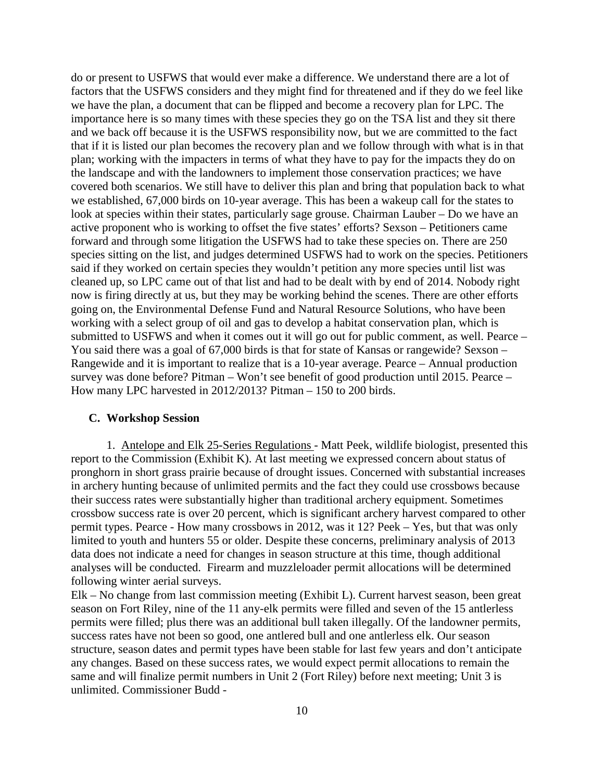do or present to USFWS that would ever make a difference. We understand there are a lot of factors that the USFWS considers and they might find for threatened and if they do we feel like we have the plan, a document that can be flipped and become a recovery plan for LPC. The importance here is so many times with these species they go on the TSA list and they sit there and we back off because it is the USFWS responsibility now, but we are committed to the fact that if it is listed our plan becomes the recovery plan and we follow through with what is in that plan; working with the impacters in terms of what they have to pay for the impacts they do on the landscape and with the landowners to implement those conservation practices; we have covered both scenarios. We still have to deliver this plan and bring that population back to what we established, 67,000 birds on 10-year average. This has been a wakeup call for the states to look at species within their states, particularly sage grouse. Chairman Lauber – Do we have an active proponent who is working to offset the five states' efforts? Sexson – Petitioners came forward and through some litigation the USFWS had to take these species on. There are 250 species sitting on the list, and judges determined USFWS had to work on the species. Petitioners said if they worked on certain species they wouldn't petition any more species until list was cleaned up, so LPC came out of that list and had to be dealt with by end of 2014. Nobody right now is firing directly at us, but they may be working behind the scenes. There are other efforts going on, the Environmental Defense Fund and Natural Resource Solutions, who have been working with a select group of oil and gas to develop a habitat conservation plan, which is submitted to USFWS and when it comes out it will go out for public comment, as well. Pearce – You said there was a goal of 67,000 birds is that for state of Kansas or rangewide? Sexson – Rangewide and it is important to realize that is a 10-year average. Pearce – Annual production survey was done before? Pitman – Won't see benefit of good production until 2015. Pearce – How many LPC harvested in 2012/2013? Pitman – 150 to 200 birds.

#### **C. Workshop Session**

1. Antelope and Elk 25-Series Regulations - Matt Peek, wildlife biologist, presented this report to the Commission (Exhibit K). At last meeting we expressed concern about status of pronghorn in short grass prairie because of drought issues. Concerned with substantial increases in archery hunting because of unlimited permits and the fact they could use crossbows because their success rates were substantially higher than traditional archery equipment. Sometimes crossbow success rate is over 20 percent, which is significant archery harvest compared to other permit types. Pearce - How many crossbows in 2012, was it 12? Peek – Yes, but that was only limited to youth and hunters 55 or older. Despite these concerns, preliminary analysis of 2013 data does not indicate a need for changes in season structure at this time, though additional analyses will be conducted. Firearm and muzzleloader permit allocations will be determined following winter aerial surveys.

Elk – No change from last commission meeting (Exhibit L). Current harvest season, been great season on Fort Riley, nine of the 11 any-elk permits were filled and seven of the 15 antlerless permits were filled; plus there was an additional bull taken illegally. Of the landowner permits, success rates have not been so good, one antlered bull and one antlerless elk. Our season structure, season dates and permit types have been stable for last few years and don't anticipate any changes. Based on these success rates, we would expect permit allocations to remain the same and will finalize permit numbers in Unit 2 (Fort Riley) before next meeting; Unit 3 is unlimited. Commissioner Budd -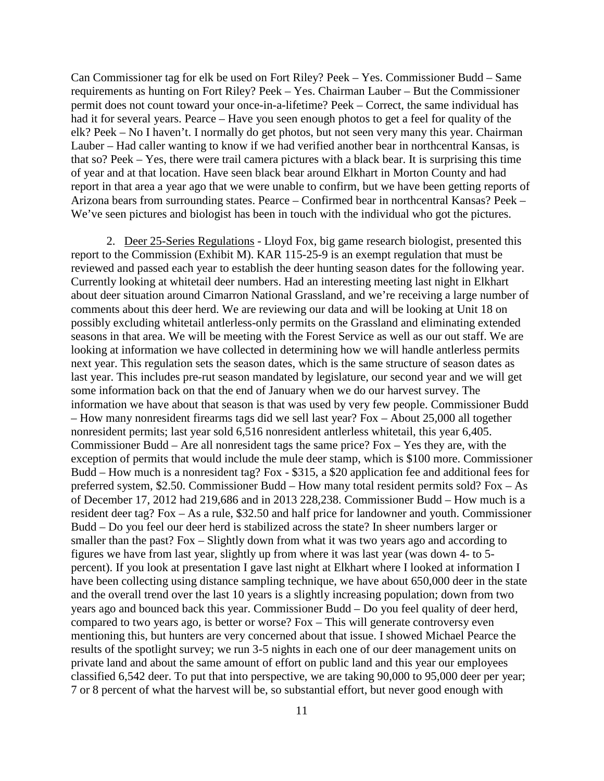Can Commissioner tag for elk be used on Fort Riley? Peek – Yes. Commissioner Budd – Same requirements as hunting on Fort Riley? Peek – Yes. Chairman Lauber – But the Commissioner permit does not count toward your once-in-a-lifetime? Peek – Correct, the same individual has had it for several years. Pearce – Have you seen enough photos to get a feel for quality of the elk? Peek – No I haven't. I normally do get photos, but not seen very many this year. Chairman Lauber – Had caller wanting to know if we had verified another bear in northcentral Kansas, is that so? Peek – Yes, there were trail camera pictures with a black bear. It is surprising this time of year and at that location. Have seen black bear around Elkhart in Morton County and had report in that area a year ago that we were unable to confirm, but we have been getting reports of Arizona bears from surrounding states. Pearce – Confirmed bear in northcentral Kansas? Peek – We've seen pictures and biologist has been in touch with the individual who got the pictures.

2. Deer 25-Series Regulations - Lloyd Fox, big game research biologist, presented this report to the Commission (Exhibit M). KAR 115-25-9 is an exempt regulation that must be reviewed and passed each year to establish the deer hunting season dates for the following year. Currently looking at whitetail deer numbers. Had an interesting meeting last night in Elkhart about deer situation around Cimarron National Grassland, and we're receiving a large number of comments about this deer herd. We are reviewing our data and will be looking at Unit 18 on possibly excluding whitetail antlerless-only permits on the Grassland and eliminating extended seasons in that area. We will be meeting with the Forest Service as well as our out staff. We are looking at information we have collected in determining how we will handle antlerless permits next year. This regulation sets the season dates, which is the same structure of season dates as last year. This includes pre-rut season mandated by legislature, our second year and we will get some information back on that the end of January when we do our harvest survey. The information we have about that season is that was used by very few people. Commissioner Budd – How many nonresident firearms tags did we sell last year? Fox – About 25,000 all together nonresident permits; last year sold 6,516 nonresident antlerless whitetail, this year 6,405. Commissioner Budd – Are all nonresident tags the same price? Fox – Yes they are, with the exception of permits that would include the mule deer stamp, which is \$100 more. Commissioner Budd – How much is a nonresident tag? Fox - \$315, a \$20 application fee and additional fees for preferred system, \$2.50. Commissioner Budd – How many total resident permits sold? Fox – As of December 17, 2012 had 219,686 and in 2013 228,238. Commissioner Budd – How much is a resident deer tag? Fox – As a rule, \$32.50 and half price for landowner and youth. Commissioner Budd – Do you feel our deer herd is stabilized across the state? In sheer numbers larger or smaller than the past? Fox – Slightly down from what it was two years ago and according to figures we have from last year, slightly up from where it was last year (was down 4- to 5 percent). If you look at presentation I gave last night at Elkhart where I looked at information I have been collecting using distance sampling technique, we have about 650,000 deer in the state and the overall trend over the last 10 years is a slightly increasing population; down from two years ago and bounced back this year. Commissioner Budd – Do you feel quality of deer herd, compared to two years ago, is better or worse? Fox – This will generate controversy even mentioning this, but hunters are very concerned about that issue. I showed Michael Pearce the results of the spotlight survey; we run 3-5 nights in each one of our deer management units on private land and about the same amount of effort on public land and this year our employees classified 6,542 deer. To put that into perspective, we are taking 90,000 to 95,000 deer per year; 7 or 8 percent of what the harvest will be, so substantial effort, but never good enough with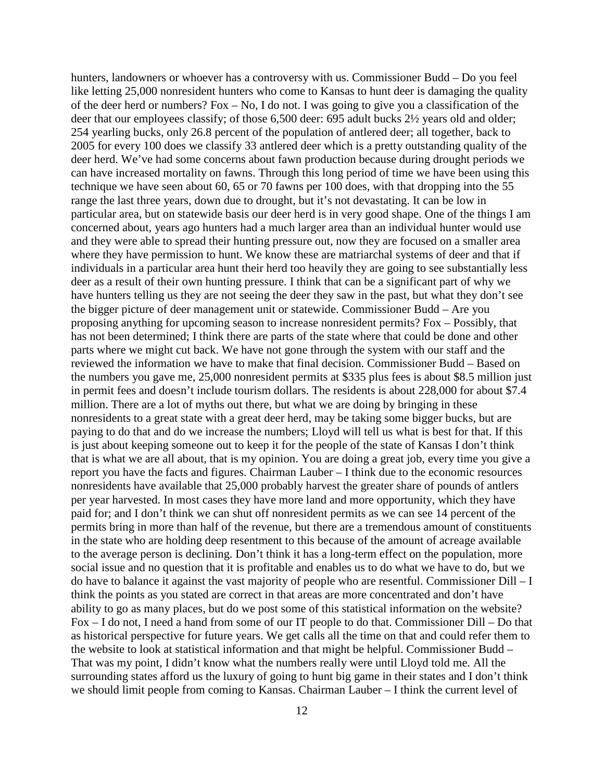hunters, landowners or whoever has a controversy with us. Commissioner Budd – Do you feel like letting 25,000 nonresident hunters who come to Kansas to hunt deer is damaging the quality of the deer herd or numbers? Fox – No, I do not. I was going to give you a classification of the deer that our employees classify; of those 6,500 deer: 695 adult bucks 2½ years old and older; 254 yearling bucks, only 26.8 percent of the population of antlered deer; all together, back to 2005 for every 100 does we classify 33 antlered deer which is a pretty outstanding quality of the deer herd. We've had some concerns about fawn production because during drought periods we can have increased mortality on fawns. Through this long period of time we have been using this technique we have seen about 60, 65 or 70 fawns per 100 does, with that dropping into the 55 range the last three years, down due to drought, but it's not devastating. It can be low in particular area, but on statewide basis our deer herd is in very good shape. One of the things I am concerned about, years ago hunters had a much larger area than an individual hunter would use and they were able to spread their hunting pressure out, now they are focused on a smaller area where they have permission to hunt. We know these are matriarchal systems of deer and that if individuals in a particular area hunt their herd too heavily they are going to see substantially less deer as a result of their own hunting pressure. I think that can be a significant part of why we have hunters telling us they are not seeing the deer they saw in the past, but what they don't see the bigger picture of deer management unit or statewide. Commissioner Budd – Are you proposing anything for upcoming season to increase nonresident permits? Fox – Possibly, that has not been determined; I think there are parts of the state where that could be done and other parts where we might cut back. We have not gone through the system with our staff and the reviewed the information we have to make that final decision. Commissioner Budd – Based on the numbers you gave me, 25,000 nonresident permits at \$335 plus fees is about \$8.5 million just in permit fees and doesn't include tourism dollars. The residents is about 228,000 for about \$7.4 million. There are a lot of myths out there, but what we are doing by bringing in these nonresidents to a great state with a great deer herd, may be taking some bigger bucks, but are paying to do that and do we increase the numbers; Lloyd will tell us what is best for that. If this is just about keeping someone out to keep it for the people of the state of Kansas I don't think that is what we are all about, that is my opinion. You are doing a great job, every time you give a report you have the facts and figures. Chairman Lauber – I think due to the economic resources nonresidents have available that 25,000 probably harvest the greater share of pounds of antlers per year harvested. In most cases they have more land and more opportunity, which they have paid for; and I don't think we can shut off nonresident permits as we can see 14 percent of the permits bring in more than half of the revenue, but there are a tremendous amount of constituents in the state who are holding deep resentment to this because of the amount of acreage available to the average person is declining. Don't think it has a long-term effect on the population, more social issue and no question that it is profitable and enables us to do what we have to do, but we do have to balance it against the vast majority of people who are resentful. Commissioner Dill – I think the points as you stated are correct in that areas are more concentrated and don't have ability to go as many places, but do we post some of this statistical information on the website? Fox – I do not, I need a hand from some of our IT people to do that. Commissioner Dill – Do that as historical perspective for future years. We get calls all the time on that and could refer them to the website to look at statistical information and that might be helpful. Commissioner Budd – That was my point, I didn't know what the numbers really were until Lloyd told me. All the surrounding states afford us the luxury of going to hunt big game in their states and I don't think we should limit people from coming to Kansas. Chairman Lauber – I think the current level of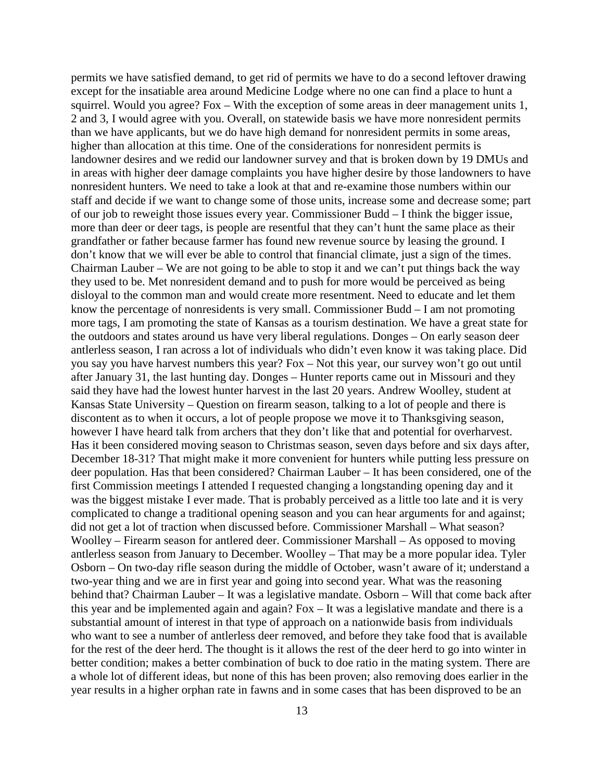permits we have satisfied demand, to get rid of permits we have to do a second leftover drawing except for the insatiable area around Medicine Lodge where no one can find a place to hunt a squirrel. Would you agree? Fox – With the exception of some areas in deer management units 1, 2 and 3, I would agree with you. Overall, on statewide basis we have more nonresident permits than we have applicants, but we do have high demand for nonresident permits in some areas, higher than allocation at this time. One of the considerations for nonresident permits is landowner desires and we redid our landowner survey and that is broken down by 19 DMUs and in areas with higher deer damage complaints you have higher desire by those landowners to have nonresident hunters. We need to take a look at that and re-examine those numbers within our staff and decide if we want to change some of those units, increase some and decrease some; part of our job to reweight those issues every year. Commissioner Budd – I think the bigger issue, more than deer or deer tags, is people are resentful that they can't hunt the same place as their grandfather or father because farmer has found new revenue source by leasing the ground. I don't know that we will ever be able to control that financial climate, just a sign of the times. Chairman Lauber – We are not going to be able to stop it and we can't put things back the way they used to be. Met nonresident demand and to push for more would be perceived as being disloyal to the common man and would create more resentment. Need to educate and let them know the percentage of nonresidents is very small. Commissioner Budd – I am not promoting more tags, I am promoting the state of Kansas as a tourism destination. We have a great state for the outdoors and states around us have very liberal regulations. Donges – On early season deer antlerless season, I ran across a lot of individuals who didn't even know it was taking place. Did you say you have harvest numbers this year? Fox – Not this year, our survey won't go out until after January 31, the last hunting day. Donges – Hunter reports came out in Missouri and they said they have had the lowest hunter harvest in the last 20 years. Andrew Woolley, student at Kansas State University – Question on firearm season, talking to a lot of people and there is discontent as to when it occurs, a lot of people propose we move it to Thanksgiving season, however I have heard talk from archers that they don't like that and potential for overharvest. Has it been considered moving season to Christmas season, seven days before and six days after, December 18-31? That might make it more convenient for hunters while putting less pressure on deer population. Has that been considered? Chairman Lauber – It has been considered, one of the first Commission meetings I attended I requested changing a longstanding opening day and it was the biggest mistake I ever made. That is probably perceived as a little too late and it is very complicated to change a traditional opening season and you can hear arguments for and against; did not get a lot of traction when discussed before. Commissioner Marshall – What season? Woolley – Firearm season for antlered deer. Commissioner Marshall – As opposed to moving antlerless season from January to December. Woolley – That may be a more popular idea. Tyler Osborn – On two-day rifle season during the middle of October, wasn't aware of it; understand a two-year thing and we are in first year and going into second year. What was the reasoning behind that? Chairman Lauber – It was a legislative mandate. Osborn – Will that come back after this year and be implemented again and again? Fox – It was a legislative mandate and there is a substantial amount of interest in that type of approach on a nationwide basis from individuals who want to see a number of antlerless deer removed, and before they take food that is available for the rest of the deer herd. The thought is it allows the rest of the deer herd to go into winter in better condition; makes a better combination of buck to doe ratio in the mating system. There are a whole lot of different ideas, but none of this has been proven; also removing does earlier in the year results in a higher orphan rate in fawns and in some cases that has been disproved to be an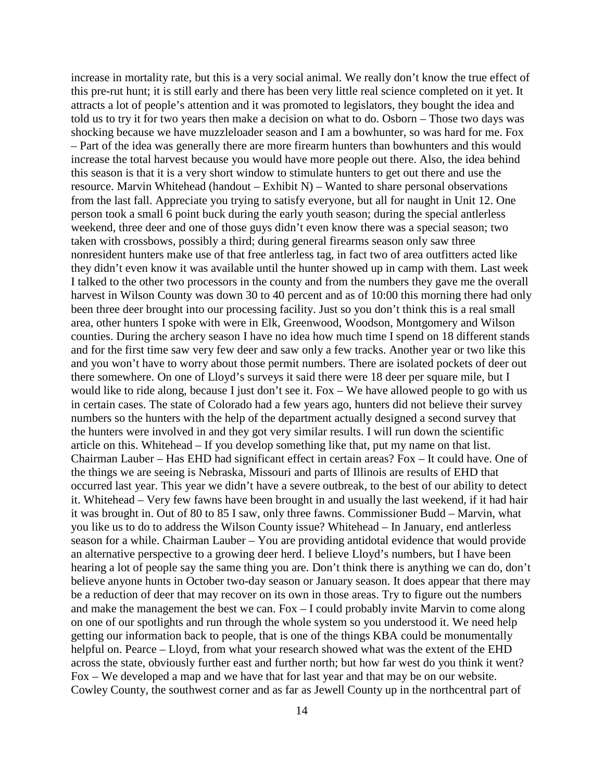increase in mortality rate, but this is a very social animal. We really don't know the true effect of this pre-rut hunt; it is still early and there has been very little real science completed on it yet. It attracts a lot of people's attention and it was promoted to legislators, they bought the idea and told us to try it for two years then make a decision on what to do. Osborn – Those two days was shocking because we have muzzleloader season and I am a bowhunter, so was hard for me. Fox – Part of the idea was generally there are more firearm hunters than bowhunters and this would increase the total harvest because you would have more people out there. Also, the idea behind this season is that it is a very short window to stimulate hunters to get out there and use the resource. Marvin Whitehead (handout – Exhibit N) – Wanted to share personal observations from the last fall. Appreciate you trying to satisfy everyone, but all for naught in Unit 12. One person took a small 6 point buck during the early youth season; during the special antlerless weekend, three deer and one of those guys didn't even know there was a special season; two taken with crossbows, possibly a third; during general firearms season only saw three nonresident hunters make use of that free antlerless tag, in fact two of area outfitters acted like they didn't even know it was available until the hunter showed up in camp with them. Last week I talked to the other two processors in the county and from the numbers they gave me the overall harvest in Wilson County was down 30 to 40 percent and as of 10:00 this morning there had only been three deer brought into our processing facility. Just so you don't think this is a real small area, other hunters I spoke with were in Elk, Greenwood, Woodson, Montgomery and Wilson counties. During the archery season I have no idea how much time I spend on 18 different stands and for the first time saw very few deer and saw only a few tracks. Another year or two like this and you won't have to worry about those permit numbers. There are isolated pockets of deer out there somewhere. On one of Lloyd's surveys it said there were 18 deer per square mile, but I would like to ride along, because I just don't see it. Fox – We have allowed people to go with us in certain cases. The state of Colorado had a few years ago, hunters did not believe their survey numbers so the hunters with the help of the department actually designed a second survey that the hunters were involved in and they got very similar results. I will run down the scientific article on this. Whitehead – If you develop something like that, put my name on that list. Chairman Lauber – Has EHD had significant effect in certain areas? Fox – It could have. One of the things we are seeing is Nebraska, Missouri and parts of Illinois are results of EHD that occurred last year. This year we didn't have a severe outbreak, to the best of our ability to detect it. Whitehead – Very few fawns have been brought in and usually the last weekend, if it had hair it was brought in. Out of 80 to 85 I saw, only three fawns. Commissioner Budd – Marvin, what you like us to do to address the Wilson County issue? Whitehead – In January, end antlerless season for a while. Chairman Lauber – You are providing antidotal evidence that would provide an alternative perspective to a growing deer herd. I believe Lloyd's numbers, but I have been hearing a lot of people say the same thing you are. Don't think there is anything we can do, don't believe anyone hunts in October two-day season or January season. It does appear that there may be a reduction of deer that may recover on its own in those areas. Try to figure out the numbers and make the management the best we can. Fox – I could probably invite Marvin to come along on one of our spotlights and run through the whole system so you understood it. We need help getting our information back to people, that is one of the things KBA could be monumentally helpful on. Pearce – Lloyd, from what your research showed what was the extent of the EHD across the state, obviously further east and further north; but how far west do you think it went? Fox – We developed a map and we have that for last year and that may be on our website. Cowley County, the southwest corner and as far as Jewell County up in the northcentral part of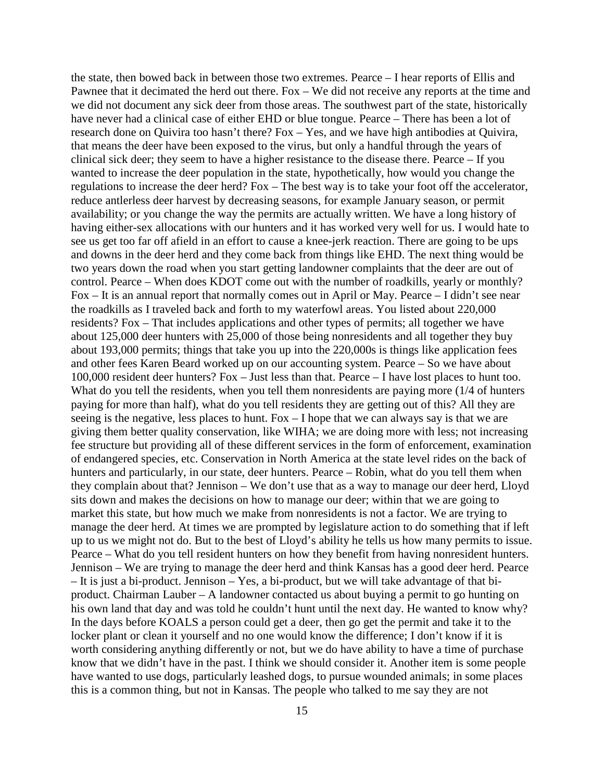the state, then bowed back in between those two extremes. Pearce – I hear reports of Ellis and Pawnee that it decimated the herd out there. Fox – We did not receive any reports at the time and we did not document any sick deer from those areas. The southwest part of the state, historically have never had a clinical case of either EHD or blue tongue. Pearce – There has been a lot of research done on Quivira too hasn't there? Fox – Yes, and we have high antibodies at Quivira, that means the deer have been exposed to the virus, but only a handful through the years of clinical sick deer; they seem to have a higher resistance to the disease there. Pearce – If you wanted to increase the deer population in the state, hypothetically, how would you change the regulations to increase the deer herd? Fox – The best way is to take your foot off the accelerator, reduce antlerless deer harvest by decreasing seasons, for example January season, or permit availability; or you change the way the permits are actually written. We have a long history of having either-sex allocations with our hunters and it has worked very well for us. I would hate to see us get too far off afield in an effort to cause a knee-jerk reaction. There are going to be ups and downs in the deer herd and they come back from things like EHD. The next thing would be two years down the road when you start getting landowner complaints that the deer are out of control. Pearce – When does KDOT come out with the number of roadkills, yearly or monthly? Fox – It is an annual report that normally comes out in April or May. Pearce – I didn't see near the roadkills as I traveled back and forth to my waterfowl areas. You listed about 220,000 residents? Fox – That includes applications and other types of permits; all together we have about 125,000 deer hunters with 25,000 of those being nonresidents and all together they buy about 193,000 permits; things that take you up into the 220,000s is things like application fees and other fees Karen Beard worked up on our accounting system. Pearce – So we have about 100,000 resident deer hunters? Fox – Just less than that. Pearce – I have lost places to hunt too. What do you tell the residents, when you tell them nonresidents are paying more (1/4 of hunters paying for more than half), what do you tell residents they are getting out of this? All they are seeing is the negative, less places to hunt. Fox – I hope that we can always say is that we are giving them better quality conservation, like WIHA; we are doing more with less; not increasing fee structure but providing all of these different services in the form of enforcement, examination of endangered species, etc. Conservation in North America at the state level rides on the back of hunters and particularly, in our state, deer hunters. Pearce – Robin, what do you tell them when they complain about that? Jennison – We don't use that as a way to manage our deer herd, Lloyd sits down and makes the decisions on how to manage our deer; within that we are going to market this state, but how much we make from nonresidents is not a factor. We are trying to manage the deer herd. At times we are prompted by legislature action to do something that if left up to us we might not do. But to the best of Lloyd's ability he tells us how many permits to issue. Pearce – What do you tell resident hunters on how they benefit from having nonresident hunters. Jennison – We are trying to manage the deer herd and think Kansas has a good deer herd. Pearce – It is just a bi-product. Jennison – Yes, a bi-product, but we will take advantage of that biproduct. Chairman Lauber – A landowner contacted us about buying a permit to go hunting on his own land that day and was told he couldn't hunt until the next day. He wanted to know why? In the days before KOALS a person could get a deer, then go get the permit and take it to the locker plant or clean it yourself and no one would know the difference; I don't know if it is worth considering anything differently or not, but we do have ability to have a time of purchase know that we didn't have in the past. I think we should consider it. Another item is some people have wanted to use dogs, particularly leashed dogs, to pursue wounded animals; in some places this is a common thing, but not in Kansas. The people who talked to me say they are not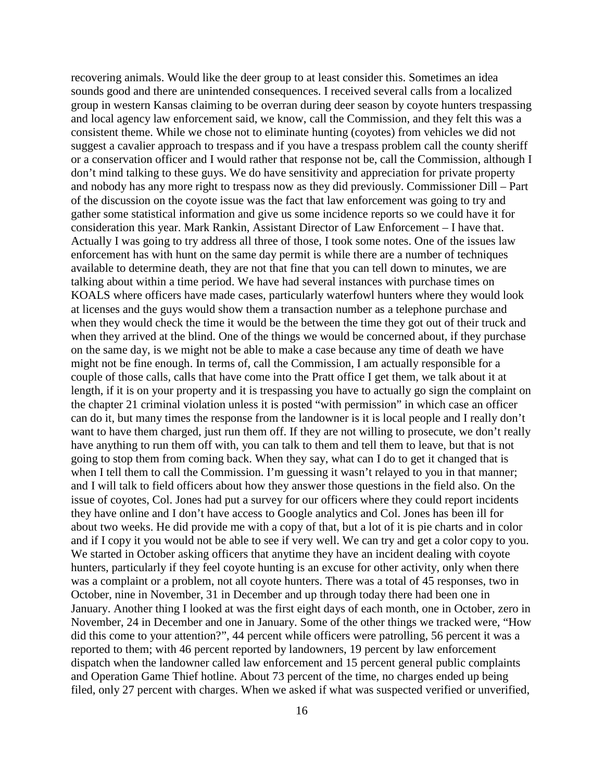recovering animals. Would like the deer group to at least consider this. Sometimes an idea sounds good and there are unintended consequences. I received several calls from a localized group in western Kansas claiming to be overran during deer season by coyote hunters trespassing and local agency law enforcement said, we know, call the Commission, and they felt this was a consistent theme. While we chose not to eliminate hunting (coyotes) from vehicles we did not suggest a cavalier approach to trespass and if you have a trespass problem call the county sheriff or a conservation officer and I would rather that response not be, call the Commission, although I don't mind talking to these guys. We do have sensitivity and appreciation for private property and nobody has any more right to trespass now as they did previously. Commissioner Dill – Part of the discussion on the coyote issue was the fact that law enforcement was going to try and gather some statistical information and give us some incidence reports so we could have it for consideration this year. Mark Rankin, Assistant Director of Law Enforcement – I have that. Actually I was going to try address all three of those, I took some notes. One of the issues law enforcement has with hunt on the same day permit is while there are a number of techniques available to determine death, they are not that fine that you can tell down to minutes, we are talking about within a time period. We have had several instances with purchase times on KOALS where officers have made cases, particularly waterfowl hunters where they would look at licenses and the guys would show them a transaction number as a telephone purchase and when they would check the time it would be the between the time they got out of their truck and when they arrived at the blind. One of the things we would be concerned about, if they purchase on the same day, is we might not be able to make a case because any time of death we have might not be fine enough. In terms of, call the Commission, I am actually responsible for a couple of those calls, calls that have come into the Pratt office I get them, we talk about it at length, if it is on your property and it is trespassing you have to actually go sign the complaint on the chapter 21 criminal violation unless it is posted "with permission" in which case an officer can do it, but many times the response from the landowner is it is local people and I really don't want to have them charged, just run them off. If they are not willing to prosecute, we don't really have anything to run them off with, you can talk to them and tell them to leave, but that is not going to stop them from coming back. When they say, what can I do to get it changed that is when I tell them to call the Commission. I'm guessing it wasn't relayed to you in that manner; and I will talk to field officers about how they answer those questions in the field also. On the issue of coyotes, Col. Jones had put a survey for our officers where they could report incidents they have online and I don't have access to Google analytics and Col. Jones has been ill for about two weeks. He did provide me with a copy of that, but a lot of it is pie charts and in color and if I copy it you would not be able to see if very well. We can try and get a color copy to you. We started in October asking officers that anytime they have an incident dealing with coyote hunters, particularly if they feel coyote hunting is an excuse for other activity, only when there was a complaint or a problem, not all coyote hunters. There was a total of 45 responses, two in October, nine in November, 31 in December and up through today there had been one in January. Another thing I looked at was the first eight days of each month, one in October, zero in November, 24 in December and one in January. Some of the other things we tracked were, "How did this come to your attention?", 44 percent while officers were patrolling, 56 percent it was a reported to them; with 46 percent reported by landowners, 19 percent by law enforcement dispatch when the landowner called law enforcement and 15 percent general public complaints and Operation Game Thief hotline. About 73 percent of the time, no charges ended up being filed, only 27 percent with charges. When we asked if what was suspected verified or unverified,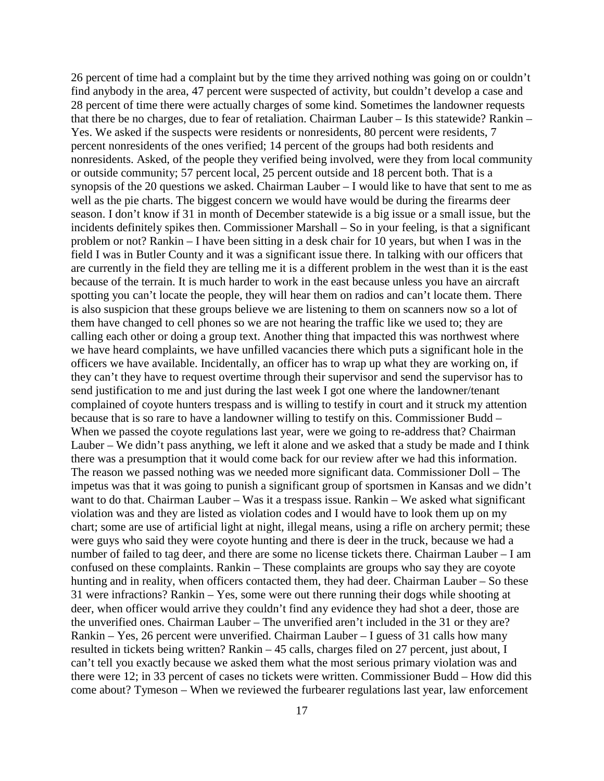26 percent of time had a complaint but by the time they arrived nothing was going on or couldn't find anybody in the area, 47 percent were suspected of activity, but couldn't develop a case and 28 percent of time there were actually charges of some kind. Sometimes the landowner requests that there be no charges, due to fear of retaliation. Chairman Lauber – Is this statewide? Rankin – Yes. We asked if the suspects were residents or nonresidents, 80 percent were residents, 7 percent nonresidents of the ones verified; 14 percent of the groups had both residents and nonresidents. Asked, of the people they verified being involved, were they from local community or outside community; 57 percent local, 25 percent outside and 18 percent both. That is a synopsis of the 20 questions we asked. Chairman Lauber – I would like to have that sent to me as well as the pie charts. The biggest concern we would have would be during the firearms deer season. I don't know if 31 in month of December statewide is a big issue or a small issue, but the incidents definitely spikes then. Commissioner Marshall – So in your feeling, is that a significant problem or not? Rankin – I have been sitting in a desk chair for 10 years, but when I was in the field I was in Butler County and it was a significant issue there. In talking with our officers that are currently in the field they are telling me it is a different problem in the west than it is the east because of the terrain. It is much harder to work in the east because unless you have an aircraft spotting you can't locate the people, they will hear them on radios and can't locate them. There is also suspicion that these groups believe we are listening to them on scanners now so a lot of them have changed to cell phones so we are not hearing the traffic like we used to; they are calling each other or doing a group text. Another thing that impacted this was northwest where we have heard complaints, we have unfilled vacancies there which puts a significant hole in the officers we have available. Incidentally, an officer has to wrap up what they are working on, if they can't they have to request overtime through their supervisor and send the supervisor has to send justification to me and just during the last week I got one where the landowner/tenant complained of coyote hunters trespass and is willing to testify in court and it struck my attention because that is so rare to have a landowner willing to testify on this. Commissioner Budd – When we passed the coyote regulations last year, were we going to re-address that? Chairman Lauber – We didn't pass anything, we left it alone and we asked that a study be made and I think there was a presumption that it would come back for our review after we had this information. The reason we passed nothing was we needed more significant data. Commissioner Doll – The impetus was that it was going to punish a significant group of sportsmen in Kansas and we didn't want to do that. Chairman Lauber – Was it a trespass issue. Rankin – We asked what significant violation was and they are listed as violation codes and I would have to look them up on my chart; some are use of artificial light at night, illegal means, using a rifle on archery permit; these were guys who said they were coyote hunting and there is deer in the truck, because we had a number of failed to tag deer, and there are some no license tickets there. Chairman Lauber – I am confused on these complaints. Rankin – These complaints are groups who say they are coyote hunting and in reality, when officers contacted them, they had deer. Chairman Lauber – So these 31 were infractions? Rankin – Yes, some were out there running their dogs while shooting at deer, when officer would arrive they couldn't find any evidence they had shot a deer, those are the unverified ones. Chairman Lauber – The unverified aren't included in the 31 or they are? Rankin – Yes, 26 percent were unverified. Chairman Lauber – I guess of 31 calls how many resulted in tickets being written? Rankin – 45 calls, charges filed on 27 percent, just about, I can't tell you exactly because we asked them what the most serious primary violation was and there were 12; in 33 percent of cases no tickets were written. Commissioner Budd – How did this come about? Tymeson – When we reviewed the furbearer regulations last year, law enforcement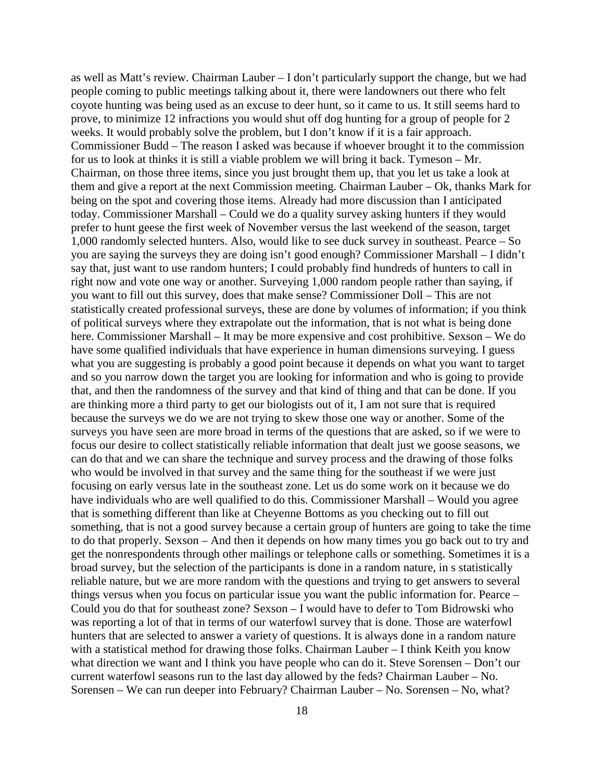as well as Matt's review. Chairman Lauber – I don't particularly support the change, but we had people coming to public meetings talking about it, there were landowners out there who felt coyote hunting was being used as an excuse to deer hunt, so it came to us. It still seems hard to prove, to minimize 12 infractions you would shut off dog hunting for a group of people for 2 weeks. It would probably solve the problem, but I don't know if it is a fair approach. Commissioner Budd – The reason I asked was because if whoever brought it to the commission for us to look at thinks it is still a viable problem we will bring it back. Tymeson – Mr. Chairman, on those three items, since you just brought them up, that you let us take a look at them and give a report at the next Commission meeting. Chairman Lauber – Ok, thanks Mark for being on the spot and covering those items. Already had more discussion than I anticipated today. Commissioner Marshall – Could we do a quality survey asking hunters if they would prefer to hunt geese the first week of November versus the last weekend of the season, target 1,000 randomly selected hunters. Also, would like to see duck survey in southeast. Pearce – So you are saying the surveys they are doing isn't good enough? Commissioner Marshall – I didn't say that, just want to use random hunters; I could probably find hundreds of hunters to call in right now and vote one way or another. Surveying 1,000 random people rather than saying, if you want to fill out this survey, does that make sense? Commissioner Doll – This are not statistically created professional surveys, these are done by volumes of information; if you think of political surveys where they extrapolate out the information, that is not what is being done here. Commissioner Marshall – It may be more expensive and cost prohibitive. Sexson – We do have some qualified individuals that have experience in human dimensions surveying. I guess what you are suggesting is probably a good point because it depends on what you want to target and so you narrow down the target you are looking for information and who is going to provide that, and then the randomness of the survey and that kind of thing and that can be done. If you are thinking more a third party to get our biologists out of it, I am not sure that is required because the surveys we do we are not trying to skew those one way or another. Some of the surveys you have seen are more broad in terms of the questions that are asked, so if we were to focus our desire to collect statistically reliable information that dealt just we goose seasons, we can do that and we can share the technique and survey process and the drawing of those folks who would be involved in that survey and the same thing for the southeast if we were just focusing on early versus late in the southeast zone. Let us do some work on it because we do have individuals who are well qualified to do this. Commissioner Marshall – Would you agree that is something different than like at Cheyenne Bottoms as you checking out to fill out something, that is not a good survey because a certain group of hunters are going to take the time to do that properly. Sexson – And then it depends on how many times you go back out to try and get the nonrespondents through other mailings or telephone calls or something. Sometimes it is a broad survey, but the selection of the participants is done in a random nature, in s statistically reliable nature, but we are more random with the questions and trying to get answers to several things versus when you focus on particular issue you want the public information for. Pearce – Could you do that for southeast zone? Sexson – I would have to defer to Tom Bidrowski who was reporting a lot of that in terms of our waterfowl survey that is done. Those are waterfowl hunters that are selected to answer a variety of questions. It is always done in a random nature with a statistical method for drawing those folks. Chairman Lauber – I think Keith you know what direction we want and I think you have people who can do it. Steve Sorensen – Don't our current waterfowl seasons run to the last day allowed by the feds? Chairman Lauber – No. Sorensen – We can run deeper into February? Chairman Lauber – No. Sorensen – No, what?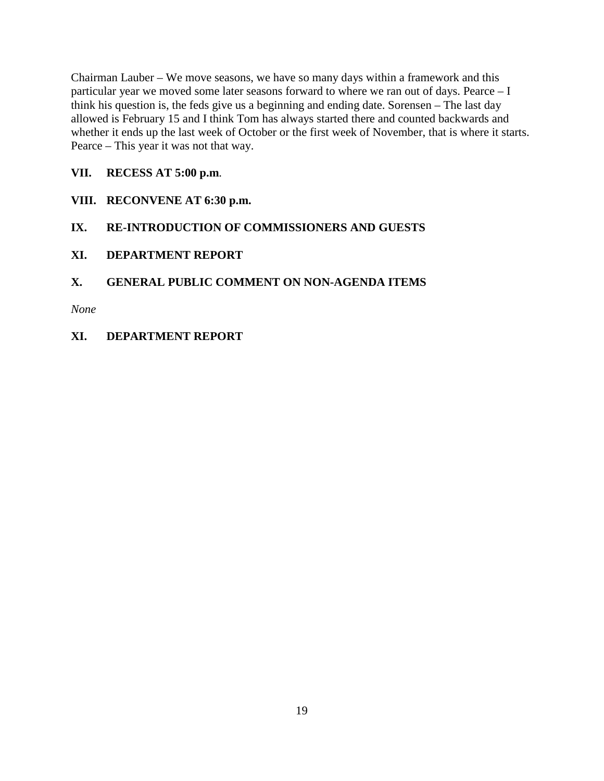Chairman Lauber – We move seasons, we have so many days within a framework and this particular year we moved some later seasons forward to where we ran out of days. Pearce – I think his question is, the feds give us a beginning and ending date. Sorensen – The last day allowed is February 15 and I think Tom has always started there and counted backwards and whether it ends up the last week of October or the first week of November, that is where it starts. Pearce – This year it was not that way.

# **VII. RECESS AT 5:00 p.m**.

- **VIII. RECONVENE AT 6:30 p.m.**
- **IX. RE-INTRODUCTION OF COMMISSIONERS AND GUESTS**
- **XI. DEPARTMENT REPORT**

# **X. GENERAL PUBLIC COMMENT ON NON-AGENDA ITEMS**

*None*

**XI. DEPARTMENT REPORT**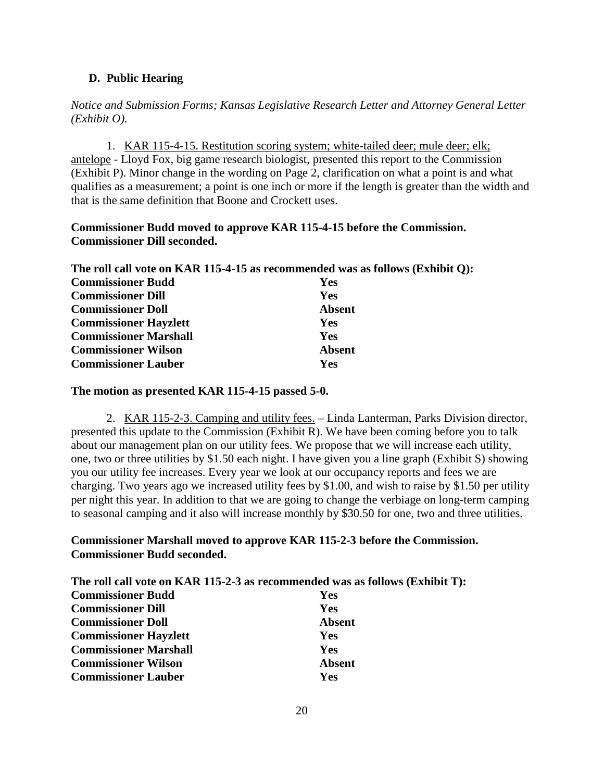### **D. Public Hearing**

*Notice and Submission Forms; Kansas Legislative Research Letter and Attorney General Letter (Exhibit O).*

1. KAR 115-4-15. Restitution scoring system; white-tailed deer; mule deer; elk; antelope - Lloyd Fox, big game research biologist, presented this report to the Commission (Exhibit P). Minor change in the wording on Page 2, clarification on what a point is and what qualifies as a measurement; a point is one inch or more if the length is greater than the width and that is the same definition that Boone and Crockett uses.

## **Commissioner Budd moved to approve KAR 115-4-15 before the Commission. Commissioner Dill seconded.**

|                              | The roll call vote on KAR 115-4-15 as recommended was as follows (Exhibit Q): |
|------------------------------|-------------------------------------------------------------------------------|
| <b>Commissioner Budd</b>     | <b>Yes</b>                                                                    |
| <b>Commissioner Dill</b>     | <b>Yes</b>                                                                    |
| <b>Commissioner Doll</b>     | <b>Absent</b>                                                                 |
| <b>Commissioner Hayzlett</b> | Yes                                                                           |
| <b>Commissioner Marshall</b> | <b>Yes</b>                                                                    |
| <b>Commissioner Wilson</b>   | <b>Absent</b>                                                                 |
| <b>Commissioner Lauber</b>   | Yes                                                                           |

### **The motion as presented KAR 115-4-15 passed 5-0.**

2. KAR 115-2-3. Camping and utility fees. – Linda Lanterman, Parks Division director, presented this update to the Commission (Exhibit R). We have been coming before you to talk about our management plan on our utility fees. We propose that we will increase each utility, one, two or three utilities by \$1.50 each night. I have given you a line graph (Exhibit S) showing you our utility fee increases. Every year we look at our occupancy reports and fees we are charging. Two years ago we increased utility fees by \$1.00, and wish to raise by \$1.50 per utility per night this year. In addition to that we are going to change the verbiage on long-term camping to seasonal camping and it also will increase monthly by \$30.50 for one, two and three utilities.

## **Commissioner Marshall moved to approve KAR 115-2-3 before the Commission. Commissioner Budd seconded.**

| The roll call vote on KAR 115-2-3 as recommended was as follows (Exhibit T): |               |  |
|------------------------------------------------------------------------------|---------------|--|
| <b>Commissioner Budd</b>                                                     | <b>Yes</b>    |  |
| <b>Commissioner Dill</b>                                                     | <b>Yes</b>    |  |
| <b>Commissioner Doll</b>                                                     | <b>Absent</b> |  |
| <b>Commissioner Hayzlett</b>                                                 | <b>Yes</b>    |  |
| <b>Commissioner Marshall</b>                                                 | <b>Yes</b>    |  |
| <b>Commissioner Wilson</b>                                                   | <b>Absent</b> |  |
| <b>Commissioner Lauber</b>                                                   | Yes           |  |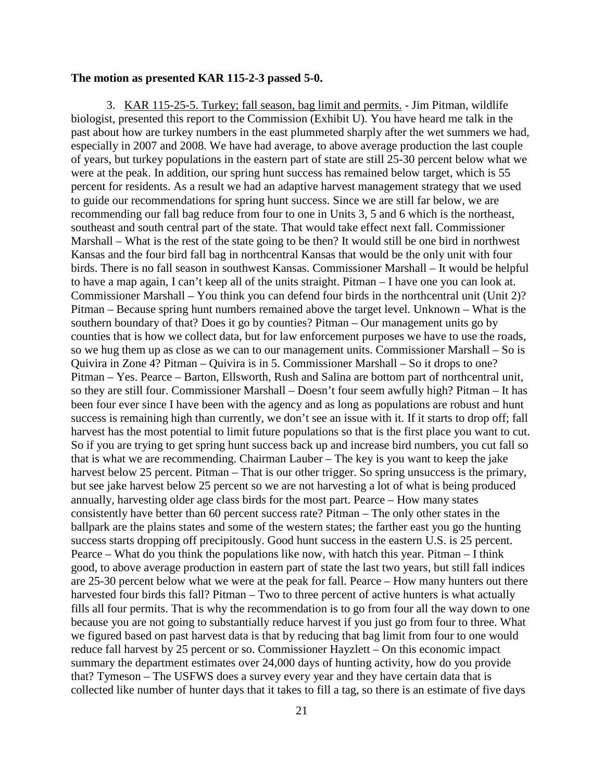### **The motion as presented KAR 115-2-3 passed 5-0.**

3. KAR 115-25-5. Turkey; fall season, bag limit and permits. - Jim Pitman, wildlife biologist, presented this report to the Commission (Exhibit U). You have heard me talk in the past about how are turkey numbers in the east plummeted sharply after the wet summers we had, especially in 2007 and 2008. We have had average, to above average production the last couple of years, but turkey populations in the eastern part of state are still 25-30 percent below what we were at the peak. In addition, our spring hunt success has remained below target, which is 55 percent for residents. As a result we had an adaptive harvest management strategy that we used to guide our recommendations for spring hunt success. Since we are still far below, we are recommending our fall bag reduce from four to one in Units 3, 5 and 6 which is the northeast, southeast and south central part of the state. That would take effect next fall. Commissioner Marshall – What is the rest of the state going to be then? It would still be one bird in northwest Kansas and the four bird fall bag in northcentral Kansas that would be the only unit with four birds. There is no fall season in southwest Kansas. Commissioner Marshall – It would be helpful to have a map again, I can't keep all of the units straight. Pitman – I have one you can look at. Commissioner Marshall – You think you can defend four birds in the northcentral unit (Unit 2)? Pitman – Because spring hunt numbers remained above the target level. Unknown – What is the southern boundary of that? Does it go by counties? Pitman – Our management units go by counties that is how we collect data, but for law enforcement purposes we have to use the roads, so we hug them up as close as we can to our management units. Commissioner Marshall – So is Quivira in Zone 4? Pitman – Quivira is in 5. Commissioner Marshall – So it drops to one? Pitman – Yes. Pearce – Barton, Ellsworth, Rush and Salina are bottom part of northcentral unit, so they are still four. Commissioner Marshall – Doesn't four seem awfully high? Pitman – It has been four ever since I have been with the agency and as long as populations are robust and hunt success is remaining high than currently, we don't see an issue with it. If it starts to drop off; fall harvest has the most potential to limit future populations so that is the first place you want to cut. So if you are trying to get spring hunt success back up and increase bird numbers, you cut fall so that is what we are recommending. Chairman Lauber – The key is you want to keep the jake harvest below 25 percent. Pitman – That is our other trigger. So spring unsuccess is the primary, but see jake harvest below 25 percent so we are not harvesting a lot of what is being produced annually, harvesting older age class birds for the most part. Pearce – How many states consistently have better than 60 percent success rate? Pitman – The only other states in the ballpark are the plains states and some of the western states; the farther east you go the hunting success starts dropping off precipitously. Good hunt success in the eastern U.S. is 25 percent. Pearce – What do you think the populations like now, with hatch this year. Pitman – I think good, to above average production in eastern part of state the last two years, but still fall indices are 25-30 percent below what we were at the peak for fall. Pearce – How many hunters out there harvested four birds this fall? Pitman – Two to three percent of active hunters is what actually fills all four permits. That is why the recommendation is to go from four all the way down to one because you are not going to substantially reduce harvest if you just go from four to three. What we figured based on past harvest data is that by reducing that bag limit from four to one would reduce fall harvest by 25 percent or so. Commissioner Hayzlett – On this economic impact summary the department estimates over 24,000 days of hunting activity, how do you provide that? Tymeson – The USFWS does a survey every year and they have certain data that is collected like number of hunter days that it takes to fill a tag, so there is an estimate of five days